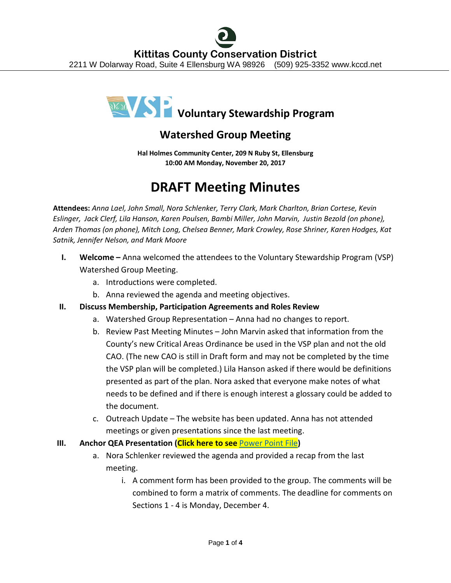

## **Watershed Group Meeting**

**Hal Holmes Community Center, 209 N Ruby St, Ellensburg 10:00 AM Monday, November 20, 2017**

## **DRAFT Meeting Minutes**

**Attendees:** *Anna Lael, John Small, Nora Schlenker, Terry Clark, Mark Charlton, Brian Cortese, Kevin Eslinger, Jack Clerf, Lila Hanson, Karen Poulsen, Bambi Miller, John Marvin, Justin Bezold (on phone), Arden Thomas (on phone), Mitch Long, Chelsea Benner, Mark Crowley, Rose Shriner, Karen Hodges, Kat Satnik, Jennifer Nelson, and Mark Moore*

- **I. Welcome –** Anna welcomed the attendees to the Voluntary Stewardship Program (VSP) Watershed Group Meeting.
	- a. Introductions were completed.
	- b. Anna reviewed the agenda and meeting objectives.
- **II. Discuss Membership, Participation Agreements and Roles Review**
	- a. Watershed Group Representation Anna had no changes to report.
	- b. Review Past Meeting Minutes John Marvin asked that information from the County's new Critical Areas Ordinance be used in the VSP plan and not the old CAO. (The new CAO is still in Draft form and may not be completed by the time the VSP plan will be completed.) Lila Hanson asked if there would be definitions presented as part of the plan. Nora asked that everyone make notes of what needs to be defined and if there is enough interest a glossary could be added to the document.
	- c. Outreach Update The website has been updated. Anna has not attended meetings or given presentations since the last meeting.
- **III. Anchor QEA Presentation (Click here to see** [Power Point File](http://www.kccd.net/VoluntaryStewardship/2017_1120_KittitasVSP_Presentation.pdf)**)**
	- a. Nora Schlenker reviewed the agenda and provided a recap from the last meeting.
		- i. A comment form has been provided to the group. The comments will be combined to form a matrix of comments. The deadline for comments on Sections 1 - 4 is Monday, December 4.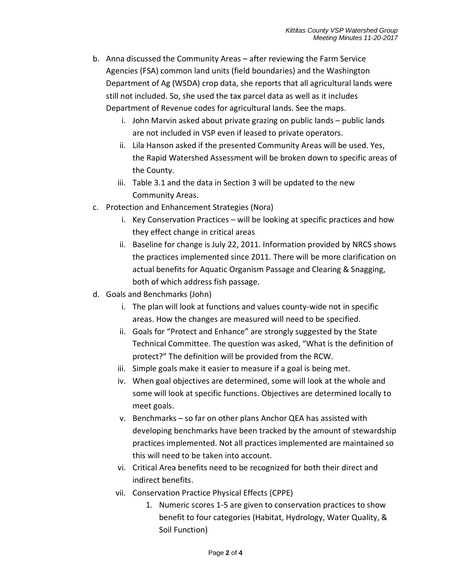- b. Anna discussed the Community Areas after reviewing the Farm Service Agencies (FSA) common land units (field boundaries) and the Washington Department of Ag (WSDA) crop data, she reports that all agricultural lands were still not included. So, she used the tax parcel data as well as it includes Department of Revenue codes for agricultural lands. See the maps.
	- i. John Marvin asked about private grazing on public lands public lands are not included in VSP even if leased to private operators.
	- ii. Lila Hanson asked if the presented Community Areas will be used. Yes, the Rapid Watershed Assessment will be broken down to specific areas of the County.
	- iii. Table 3.1 and the data in Section 3 will be updated to the new Community Areas.
- c. Protection and Enhancement Strategies (Nora)
	- i. Key Conservation Practices will be looking at specific practices and how they effect change in critical areas
	- ii. Baseline for change is July 22, 2011. Information provided by NRCS shows the practices implemented since 2011. There will be more clarification on actual benefits for Aquatic Organism Passage and Clearing & Snagging, both of which address fish passage.
- d. Goals and Benchmarks (John)
	- i. The plan will look at functions and values county-wide not in specific areas. How the changes are measured will need to be specified.
	- ii. Goals for "Protect and Enhance" are strongly suggested by the State Technical Committee. The question was asked, "What is the definition of protect?" The definition will be provided from the RCW.
	- iii. Simple goals make it easier to measure if a goal is being met.
	- iv. When goal objectives are determined, some will look at the whole and some will look at specific functions. Objectives are determined locally to meet goals.
	- v. Benchmarks so far on other plans Anchor QEA has assisted with developing benchmarks have been tracked by the amount of stewardship practices implemented. Not all practices implemented are maintained so this will need to be taken into account.
	- vi. Critical Area benefits need to be recognized for both their direct and indirect benefits.
	- vii. Conservation Practice Physical Effects (CPPE)
		- 1. Numeric scores 1-5 are given to conservation practices to show benefit to four categories (Habitat, Hydrology, Water Quality, & Soil Function)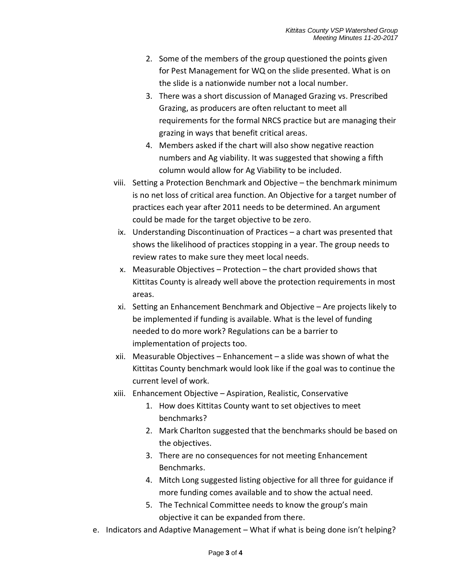- 2. Some of the members of the group questioned the points given for Pest Management for WQ on the slide presented. What is on the slide is a nationwide number not a local number.
- 3. There was a short discussion of Managed Grazing vs. Prescribed Grazing, as producers are often reluctant to meet all requirements for the formal NRCS practice but are managing their grazing in ways that benefit critical areas.
- 4. Members asked if the chart will also show negative reaction numbers and Ag viability. It was suggested that showing a fifth column would allow for Ag Viability to be included.
- viii. Setting a Protection Benchmark and Objective the benchmark minimum is no net loss of critical area function. An Objective for a target number of practices each year after 2011 needs to be determined. An argument could be made for the target objective to be zero.
- ix. Understanding Discontinuation of Practices a chart was presented that shows the likelihood of practices stopping in a year. The group needs to review rates to make sure they meet local needs.
- x. Measurable Objectives Protection the chart provided shows that Kittitas County is already well above the protection requirements in most areas.
- xi. Setting an Enhancement Benchmark and Objective Are projects likely to be implemented if funding is available. What is the level of funding needed to do more work? Regulations can be a barrier to implementation of projects too.
- xii. Measurable Objectives Enhancement a slide was shown of what the Kittitas County benchmark would look like if the goal was to continue the current level of work.
- xiii. Enhancement Objective Aspiration, Realistic, Conservative
	- 1. How does Kittitas County want to set objectives to meet benchmarks?
	- 2. Mark Charlton suggested that the benchmarks should be based on the objectives.
	- 3. There are no consequences for not meeting Enhancement Benchmarks.
	- 4. Mitch Long suggested listing objective for all three for guidance if more funding comes available and to show the actual need.
	- 5. The Technical Committee needs to know the group's main objective it can be expanded from there.
- e. Indicators and Adaptive Management What if what is being done isn't helping?